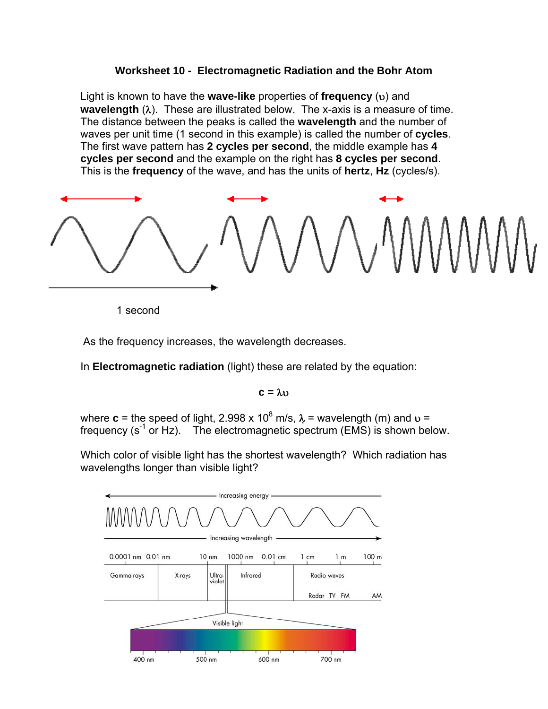## **Worksheet 10 - Electromagnetic Radiation and the Bohr Atom**

Light is known to have the **wave-like** properties of **frequency** (υ) and **wavelength** (λ). These are illustrated below. The x-axis is a measure of time. The distance between the peaks is called the **wavelength** and the number of waves per unit time (1 second in this example) is called the number of **cycles**. The first wave pattern has **2 cycles per second**, the middle example has **4 cycles per second** and the example on the right has **8 cycles per second**. This is the **frequency** of the wave, and has the units of **hertz**, **Hz** (cycles/s).



1 second

As the frequency increases, the wavelength decreases.

In **Electromagnetic radiation** (light) these are related by the equation:

## **c =** λυ

where **c** = the speed of light, 2.998 x 10<sup>8</sup> m/s,  $\lambda$  = wavelength (m) and  $v$  = frequency  $(s^{-1}$  or Hz). The electromagnetic spectrum (EMS) is shown below.

Which color of visible light has the shortest wavelength? Which radiation has wavelengths longer than visible light?

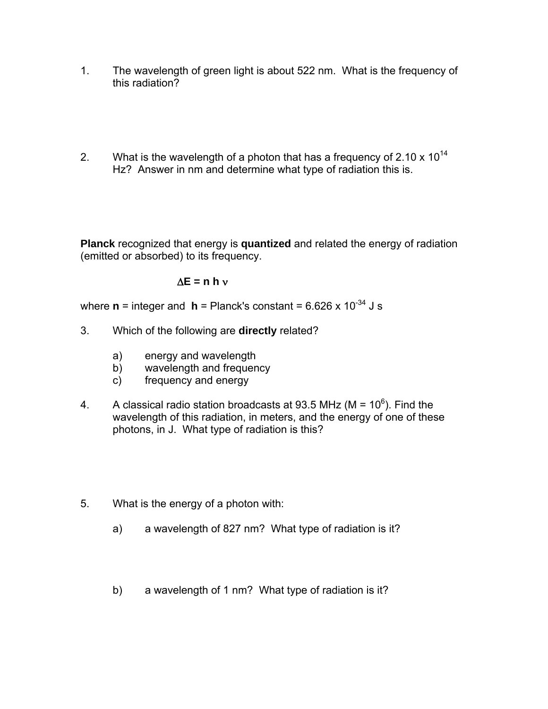- 1. The wavelength of green light is about 522 nm. What is the frequency of this radiation?
- 2. What is the wavelength of a photon that has a frequency of 2.10  $\times$  10<sup>14</sup> Hz? Answer in nm and determine what type of radiation this is.

**Planck** recognized that energy is **quantized** and related the energy of radiation (emitted or absorbed) to its frequency.

## Δ**E = n h** ν

where  $\mathbf{n}$  = integer and  $\mathbf{h}$  = Planck's constant = 6.626 x 10<sup>-34</sup> J s

- 3. Which of the following are **directly** related?
	- a) energy and wavelength
	- b) wavelength and frequency
	- c) frequency and energy
- 4. A classical radio station broadcasts at 93.5 MHz (M =  $10^6$ ). Find the wavelength of this radiation, in meters, and the energy of one of these photons, in J. What type of radiation is this?
- 5. What is the energy of a photon with:
	- a) a wavelength of 827 nm? What type of radiation is it?
	- b) a wavelength of 1 nm? What type of radiation is it?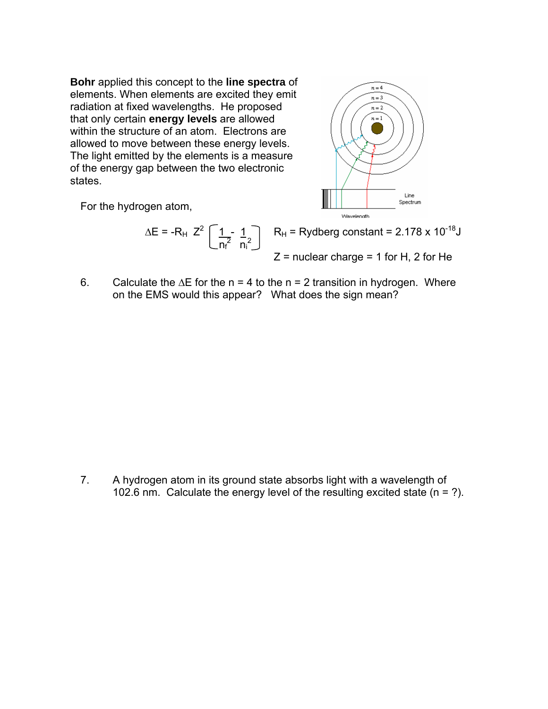radiation at fixed wavelengths. He proposed **Bohr** applied this concept to the **line spectra** of elements. When elements are excited they emit that only certain **energy levels** are allowed within the structure of an atom. Electrons are allowed to move between these energy levels. The light emitted by the elements is a measure of the energy gap between the two electronic states.

For the hydrogen atom,

$$
\Delta E = -R_H Z^2 \left[ \frac{1}{n_f^2} - \frac{1}{n_i^2} \right]
$$
  $R_H = \text{Rydberg constant} = 2.178 \times 10^{-18} \text{J}$   
 $Z = \text{nuclear charge} = 1 \text{ for H, 2 for He}$ 

6. Calculate the  $\Delta E$  for the n = 4 to the n = 2 transition in hydrogen. Where on the EMS would this appear? What does the sign mean?

7. A hydrogen atom in its ground state absorbs light with a wavelength of 102.6 nm. Calculate the energy level of the resulting excited state (n = ?).